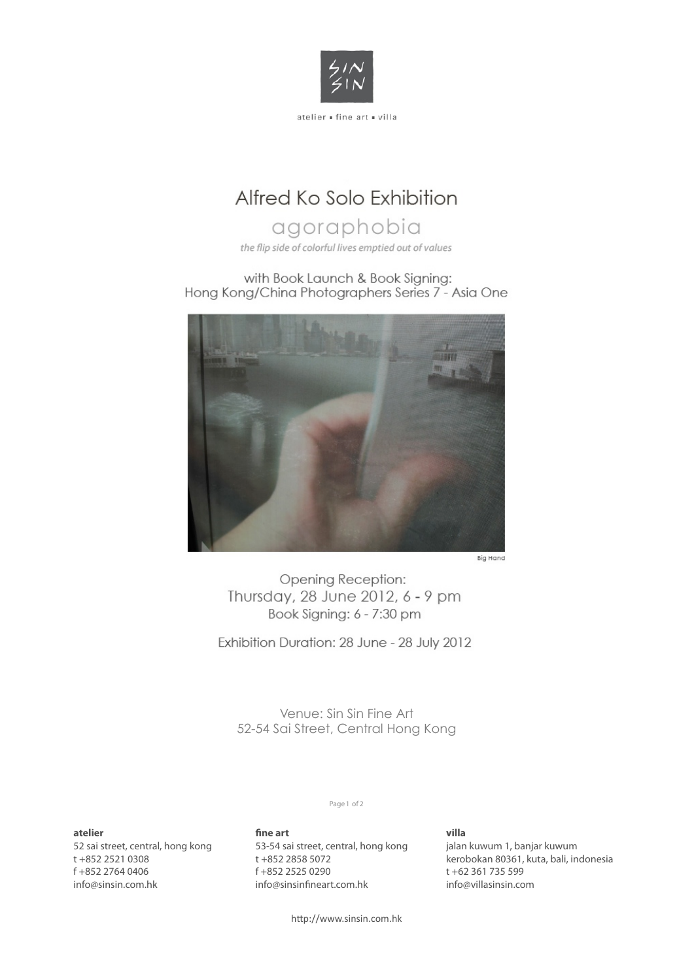

## Alfred Ko Solo Exhibition

# agoraphobia

the flip side of colorful lives emptied out of values

with Book Launch & Book Signing: Hong Kong/China Photographers Series 7 - Asia One



Opening Reception: Thursday, 28 June 2012, 6 - 9 pm Book Signing: 6 - 7:30 pm

Exhibition Duration: 28 June - 28 July 2012

Venue: Sin Sin Fine Art 52-54 Sai Street, Central Hong Kong

### **atelier**

52 sai street, central, hong kong t +852 2521 0308 f +852 2764 0406 info@sinsin.com.hk

### Page 1 of 2

**!ne art** 53-54 sai street, central, hong kong t +852 2858 5072 f +852 2525 0290 info@sinsinfineart.com.hk

### **villa**

jalan kuwum 1, banjar kuwum kerobokan 80361, kuta, bali, indonesia t +62 361 735 599 info@villasinsin.com

http://www.sinsin.com.hk